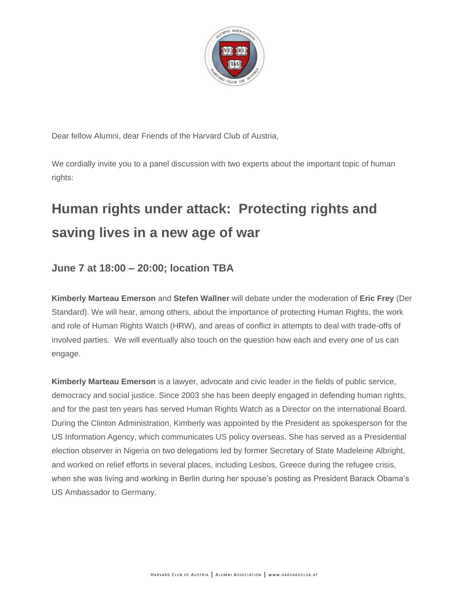

Dear fellow Alumni, dear Friends of the Harvard Club of Austria,

We cordially invite you to a panel discussion with two experts about the important topic of human rights:

## **Human rights under attack: Protecting rights and saving lives in a new age of war**

## **June 7 at 18:00 – 20:00; location TBA**

**Kimberly Marteau Emerson** and **Stefen Wallner** will debate under the moderation of **Eric Frey** (Der Standard). We will hear, among others, about the importance of protecting Human Rights, the work and role of Human Rights Watch (HRW), and areas of conflict in attempts to deal with trade-offs of involved parties. We will eventually also touch on the question how each and every one of us can engage.

**Kimberly Marteau Emerson** is a lawyer, advocate and civic leader in the fields of public service, democracy and social justice. Since 2003 she has been deeply engaged in defending human rights, and for the past ten years has served Human Rights Watch as a Director on the international Board. During the Clinton Administration, Kimberly was appointed by the President as spokesperson for the US Information Agency, which communicates US policy overseas. She has served as a Presidential election observer in Nigeria on two delegations led by former Secretary of State Madeleine Albright, and worked on relief efforts in several places, including Lesbos, Greece during the refugee crisis, when she was living and working in Berlin during her spouse's posting as President Barack Obama's US Ambassador to Germany.